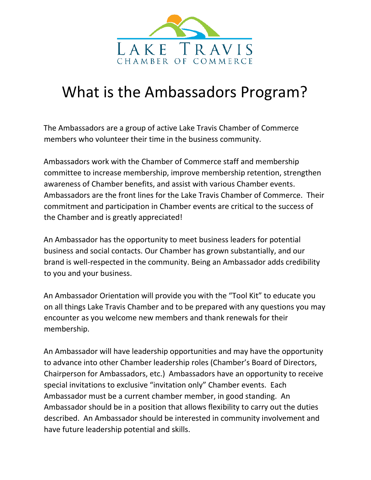

## What is the Ambassadors Program?

The Ambassadors are a group of active Lake Travis Chamber of Commerce members who volunteer their time in the business community.

Ambassadors work with the Chamber of Commerce staff and membership committee to increase membership, improve membership retention, strengthen awareness of Chamber benefits, and assist with various Chamber events. Ambassadors are the front lines for the Lake Travis Chamber of Commerce. Their commitment and participation in Chamber events are critical to the success of the Chamber and is greatly appreciated!

An Ambassador has the opportunity to meet business leaders for potential business and social contacts. Our Chamber has grown substantially, and our brand is well-respected in the community. Being an Ambassador adds credibility to you and your business.

An Ambassador Orientation will provide you with the "Tool Kit" to educate you on all things Lake Travis Chamber and to be prepared with any questions you may encounter as you welcome new members and thank renewals for their membership.

An Ambassador will have leadership opportunities and may have the opportunity to advance into other Chamber leadership roles (Chamber's Board of Directors, Chairperson for Ambassadors, etc.) Ambassadors have an opportunity to receive special invitations to exclusive "invitation only" Chamber events. Each Ambassador must be a current chamber member, in good standing. An Ambassador should be in a position that allows flexibility to carry out the duties described. An Ambassador should be interested in community involvement and have future leadership potential and skills.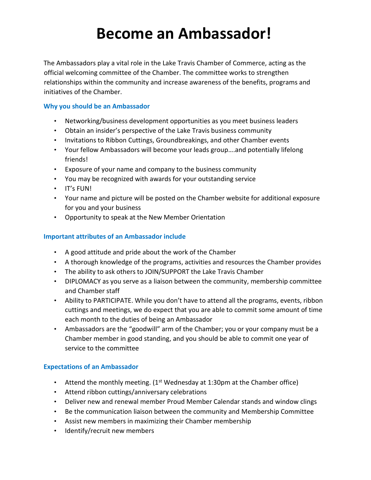# **Become an Ambassador!**

The Ambassadors play a vital role in the Lake Travis Chamber of Commerce, acting as the official welcoming committee of the Chamber. The committee works to strengthen relationships within the community and increase awareness of the benefits, programs and initiatives of the Chamber.

#### **Why you should be an Ambassador**

- Networking/business development opportunities as you meet business leaders
- Obtain an insider's perspective of the Lake Travis business community
- Invitations to Ribbon Cuttings, Groundbreakings, and other Chamber events
- Your fellow Ambassadors will become your leads group….and potentially lifelong friends!
- Exposure of your name and company to the business community
- You may be recognized with awards for your outstanding service
- IT's FUN!
- Your name and picture will be posted on the Chamber website for additional exposure for you and your business
- Opportunity to speak at the New Member Orientation

#### **Important attributes of an Ambassador include**

- A good attitude and pride about the work of the Chamber
- A thorough knowledge of the programs, activities and resources the Chamber provides
- The ability to ask others to JOIN/SUPPORT the Lake Travis Chamber
- DIPLOMACY as you serve as a liaison between the community, membership committee and Chamber staff
- Ability to PARTICIPATE. While you don't have to attend all the programs, events, ribbon cuttings and meetings, we do expect that you are able to commit some amount of time each month to the duties of being an Ambassador
- Ambassadors are the "goodwill" arm of the Chamber; you or your company must be a Chamber member in good standing, and you should be able to commit one year of service to the committee

### **Expectations of an Ambassador**

- Attend the monthly meeting.  $(1^{st}$  Wednesday at 1:30pm at the Chamber office)
- Attend ribbon cuttings/anniversary celebrations
- Deliver new and renewal member Proud Member Calendar stands and window clings
- Be the communication liaison between the community and Membership Committee
- Assist new members in maximizing their Chamber membership
- Identify/recruit new members